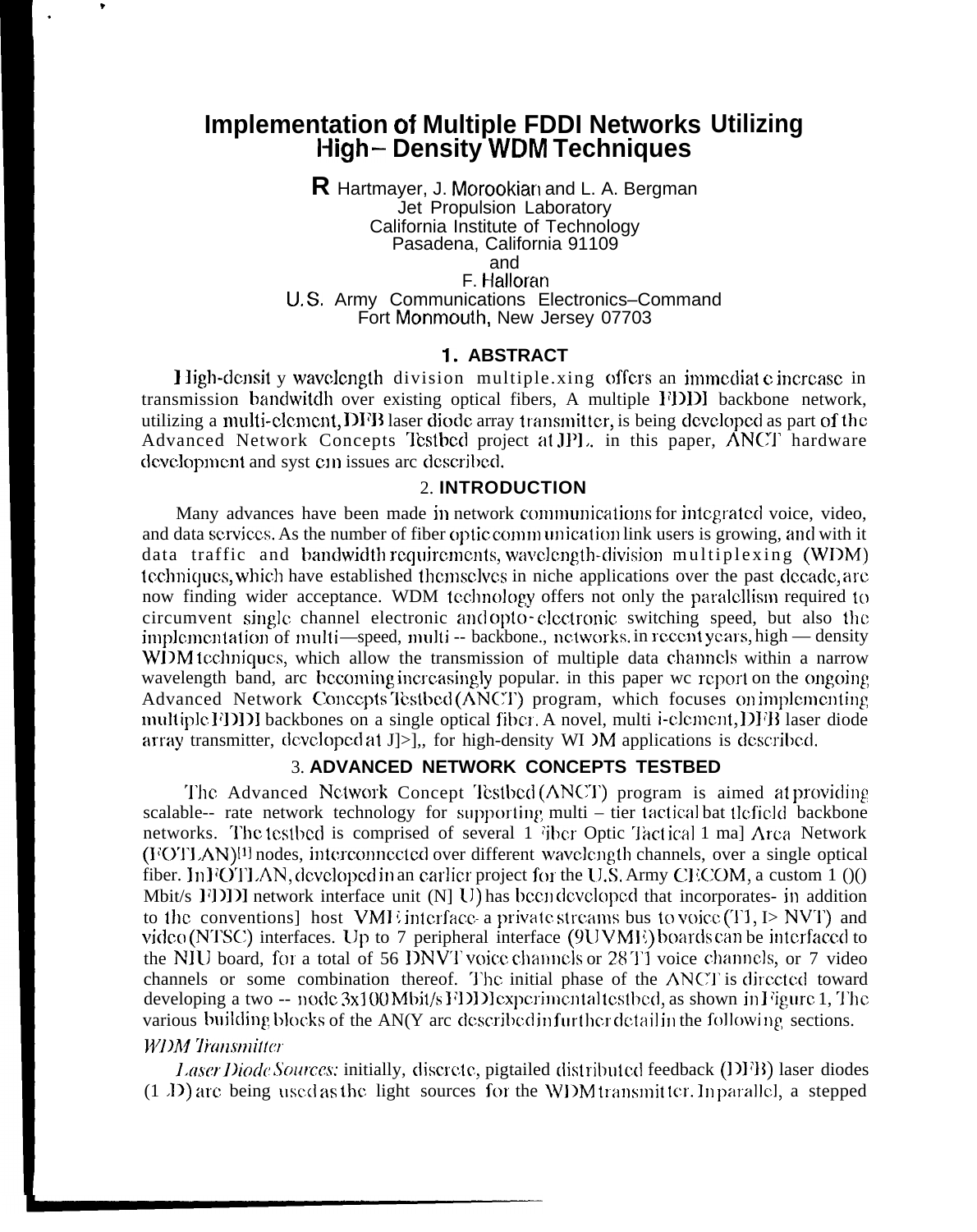# **Implementation of Multiple FDDI Networks Utilizing I+igh– Density WDM Techniques**

**R** Hartmayer, J. Morookian and L. A. Bergman Jet Propulsion Laboratory California Institute of Technology Pasadena, California 91109 and F. Halloran U, S, Army Communications Electronics–Command

Fort Monmouth, New Jersey 07703

### 1. **ABSTRACT**

**1** ligh-densit y wavelength division multiple xing offers an immediate increase in transmission bandwitdh over existing optical fibers, A multiple FDDI backbone network, utilizing a multi-clement, DFB laser diode array transmitter, is being developed as part of the Advanced Network Concepts Testbed project at JPL, in this paper, ANCT hardware development and syst c $n$  issues arc described.

### 2. **INTRODUCTION**

Many advances have been made in network communications for integrated voice, video, and data services. As the number of fiber optic communication link users is growing, and with it data traffic and bandwidth requirements, wavelength-division multiplexing (WDM) tcchniqucs, which have established thcmsclvcs in niche applications over the past dccadc, arc now finding wider acceptance. WDM tcchnology offers not only the paralcllism required to circumvent sing]c channel electronic and opto- clcdronic switching speed, but also Ihc implementation of multi—speed, multi -- backbone., nctworks. in recent years, high — density WDM tcchniques, which allow the transmission of multiple data channels within a narrow wavelength band, arc becoming increasingly popular. in this paper we report on the ongoing Advanced Network Concepts Testbed (ANCT) program, which focuses on implementing multiple FDD backbones on a single optical fiber. A novel, multi i-clement, DFB laser diode array transmitter, dcvclopcd at J]>],, for high-density WI IM applications is dcscribcd.

#### 3. **ADVANCED NETWORK CONCEPTS TESTBED**

The Advanced Network Concept Testbed (ANCT) program is aimed at providing scalable-- rate network technology for supporting multi – tier tactical bat tlefield backbone networks. The testbed is comprised of several 1 (i) fiber Optic Tactical 1 maj Arca Network  $(VOTI AN)^{[1]}$  nodes, interconnected over different wavelength channels, over a single optical fiber. In FOTLAN, developed in an earlier project for the U.S. Army CECOM, a custom  $1 \,(1)$ Mbit/s  $[1]$ ]) network interface unit  $[N]$  U) has been developed that incorporates- in addition to the conventions] host VMI interface a private streams bus to voice (T1, I> NVT) and video (NTSC) interfaces. Up to 7 peripheral interface  $(9UVME)$  boards can be interfaced to the NIU board, for a total of 56 DNVT voice channels or 28 T1 voice channels, or 7 video channels or some combination thereof. The initial phase of the ANCT is directed toward developing a two  $-$  node  $3x100$  Mbit/s FDD experimental testbed, as shown in Figure 1, The various building blocks of the AN(Y arc described in further detail in the following sections.

### **W7)h!** *7fatjst?lit/cr*

?

.

*Laser Diode Sources:* initially, discrete, pigtailed distributed feedback (DFB) laser diodes  $(1 \text{ } I)$  arc being used as the light sources for the WDM transmitter. In parallel, a stepped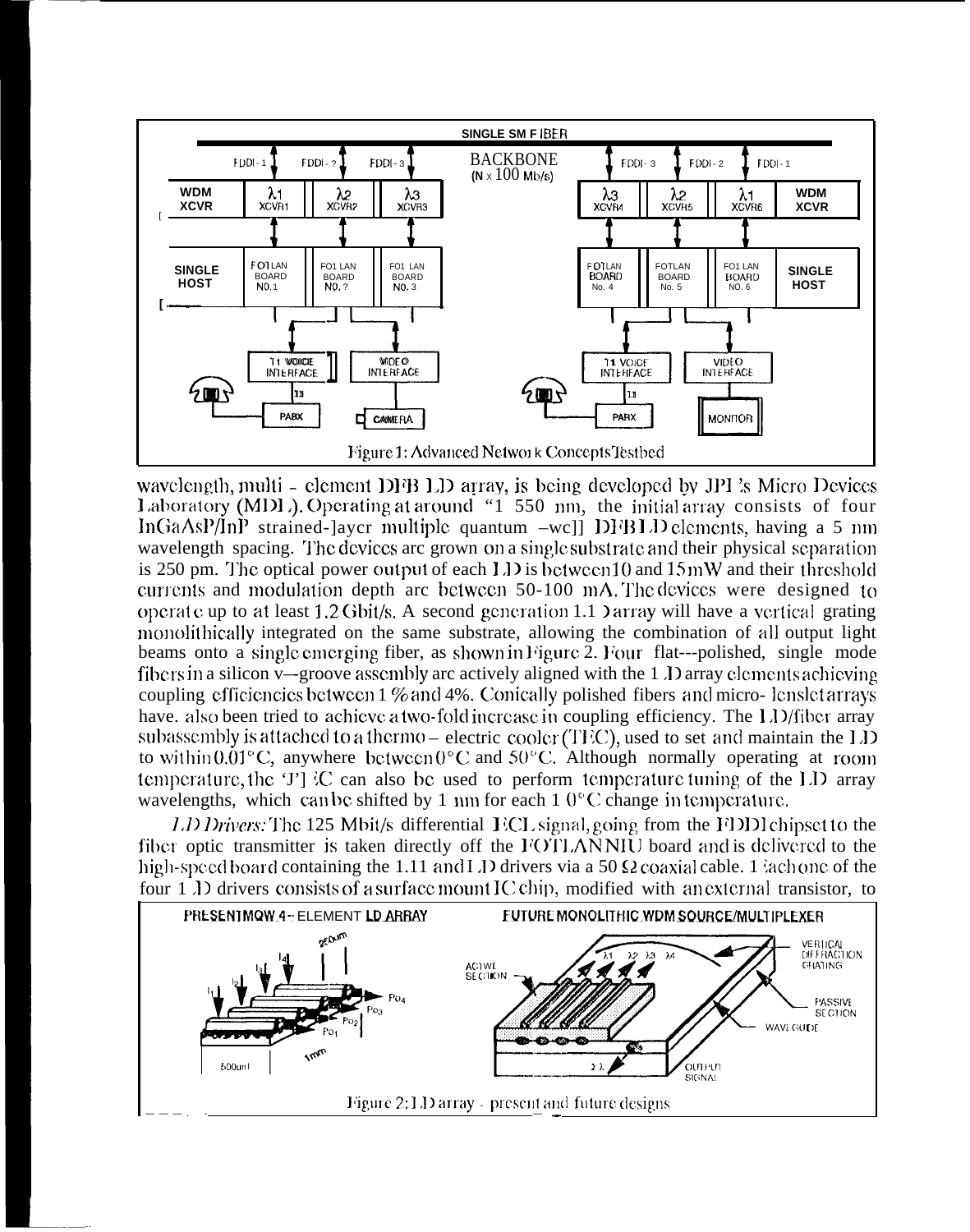

wavelength, multi – element DFB LD array, is being developed by JPI's Micro Devices Laboratory (MDL). Operating at around "1 550 nm, the initial array consists of four InGaAsP/InP strained-layer multiple quantum -well DFBLD elements, having a 5 nm wavelength spacing. The devices are grown on a single substrate and their physical separation is 250 pm. The optical power output of each LD is between 10 and 15 mW and their threshold currents and modulation depth are between 50-100 mA. The devices were designed to operate up to at least 1.2 Gbit/s. A second generation 1.1 ) array will have a vertical grating monolithically integrated on the same substrate, allowing the combination of all output light beams onto a single emerging fiber, as shown in Figure 2. Four flat---polished, single mode fibers in a silicon v—groove assembly are actively aligned with the 1 J array elements achieving coupling efficiencies between 1 % and 4%. Conically polished fibers and micro-lenslet arrays have. also been tried to achieve a two-fold increase in coupling efficiency. The LD/fiber array subassembly is attached to a thermo-electric cooler  $(TFC)$ , used to set and maintain the LD to within  $0.01^{\circ}$ C, anywhere between  $0^{\circ}$ C and  $50^{\circ}$ C. Although normally operating at room temperature, the 'J'  $\{C \}$  can also be used to perform temperature tuning of the LD array wavelengths, which can be shifted by 1 nm for each  $1\ 0\degree$ C change in temperature.

LD Drivers: The 125 Mbit/s differential ECL signal, going from the FDDI chipset to the fiber optic transmitter is taken directly off the FOTLANNIU board and is delivered to the high-speed board containing the 1.11 and I J drivers via a 50  $\Omega$  coaxial cable. 1 lach one of the four 1 D drivers consists of a surface mount IC chip, modified with an external transistor, to

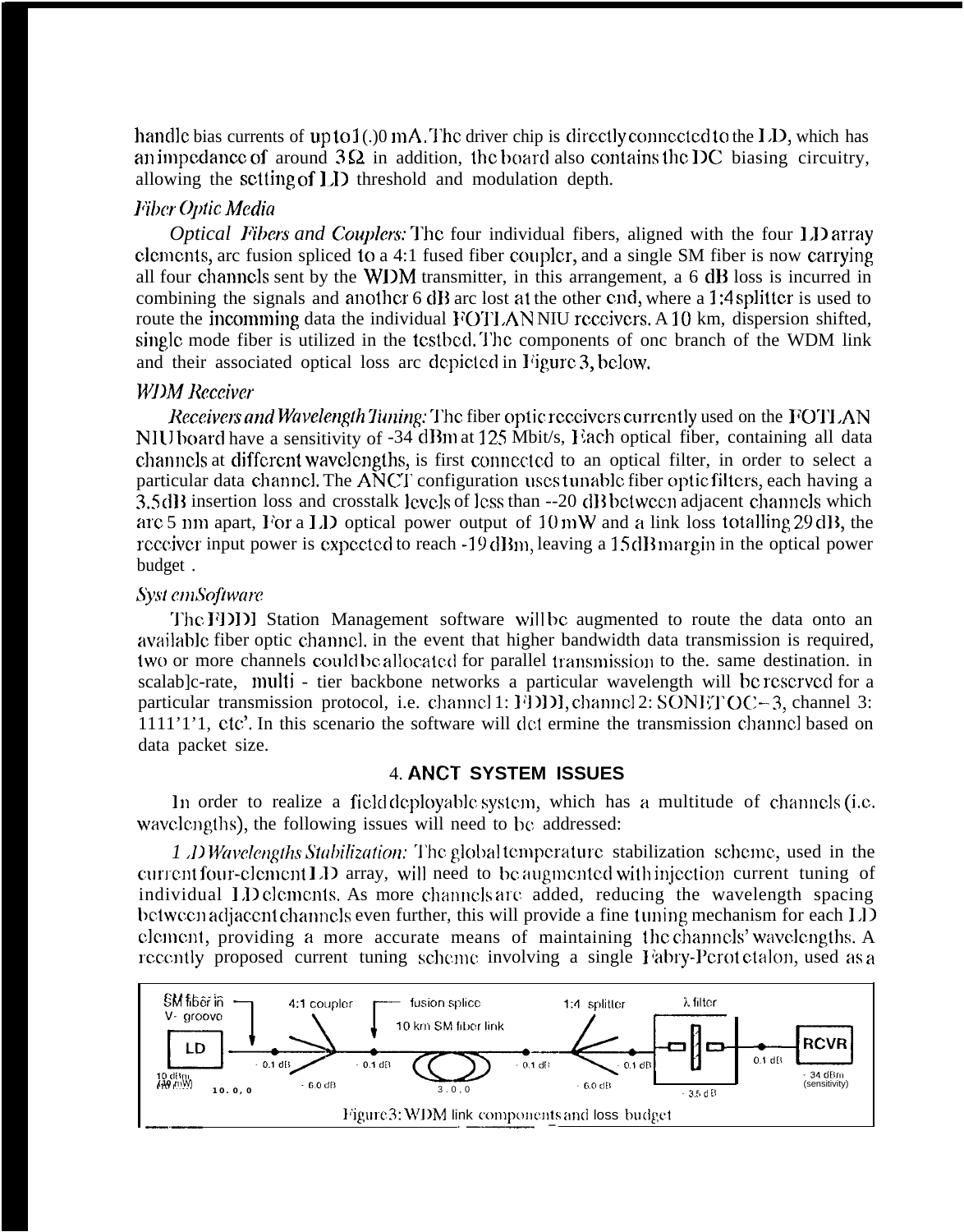handle bias currents of  $up to 1(.)$  mA. The driver chip is directly connected to the LD, which has an impedance of around  $3\Omega$  in addition, the board also contains the DC biasing circuitry, allowing the setting of **1,1)** threshold and modulation depth.

# *Film- Ol)tic Media*

*Optical Fibers and Couplers:* The four individual fibers, aligned with the four 1.D array clements, arc fusion spliced to a 4:1 fused fiber coupler, and a single SM fiber is now carrying all four channels sent by the WDM transmitter, in this arrangement, a  $6$  dB loss is incurred in combining the signals and another 6 dB arc lost at the other end, where a 1:4 splitter is used to route the incomming data the individual FOTLANNIU receivers. A 10 km, dispersion shifted, single mode fiber is utilized in the testbed. The components of one branch of the WDM link and their associated optical loss arc depicted in Figure 3, below.

# *WI)M Rcccivcr*

*Receivers and Wavelength Tuning:* The fiber optic receivers currently used on the FOTLAN NIU board have a sensitivity of -34 dBm at 125 Mbit/s, Each optical fiber, containing all data channels at different wavelengths, is first connected to an optical filter, in order to select a particular data channel. The ANCT configuration uses tunable fiber optic filters, each having a 3.5 dB insertion loss and crosstalk levels of less than --20 dB between adjacent channels which arc 5 nm apart, For a LD optical power output of  $10 \text{ mW}$  and a link loss totalling 29 dB, the receiver input power is expected to reach -19 dBm, leaving a 15 dB margin in the optical power budget .

# $Syst cm$ Software

**'J'hc** F])])] Station Management software will bc augmented to route the data onto an available fiber optic channel, in the event that higher bandwidth data transmission is required, two or more channels could be allocated for parallel transmission to the. same destination. in scalab]c-rate, multi - tier backbone networks a particular wavelength will be reserved for a particular transmission protocol, i.e. channel 1:  $[4]$   $[1]$ , channel 2: SON $[1]$   $[OC-3]$ , channel 3: 1111'1'1, ctc'. In this scenario the software will dcl ermine the transmission channc] based on data packet size.

### 4. **ANCT SYSTEM ISSUES**

In order to realize a field deployable system, which has a multitude of channels (i.e. wavelengths), the following issues will need to be addressed:

*1 J) Wavelengths Stabilization:* The global temperature stabilization scheme, used in the current four-clement  $LD$  array, will need to be augmented with injection current tuning of individual  $1.1$ ) clements. As more channels are added, reducing the wavelength spacing bctween adjacent channels even further, this will provide a fine tuning mechanism for each LD clement, providing a more accurate means of maintaining the channels' wavelengths. A recently proposed current tuning scheme involving a single Fabry-Perot ctalon, used as a

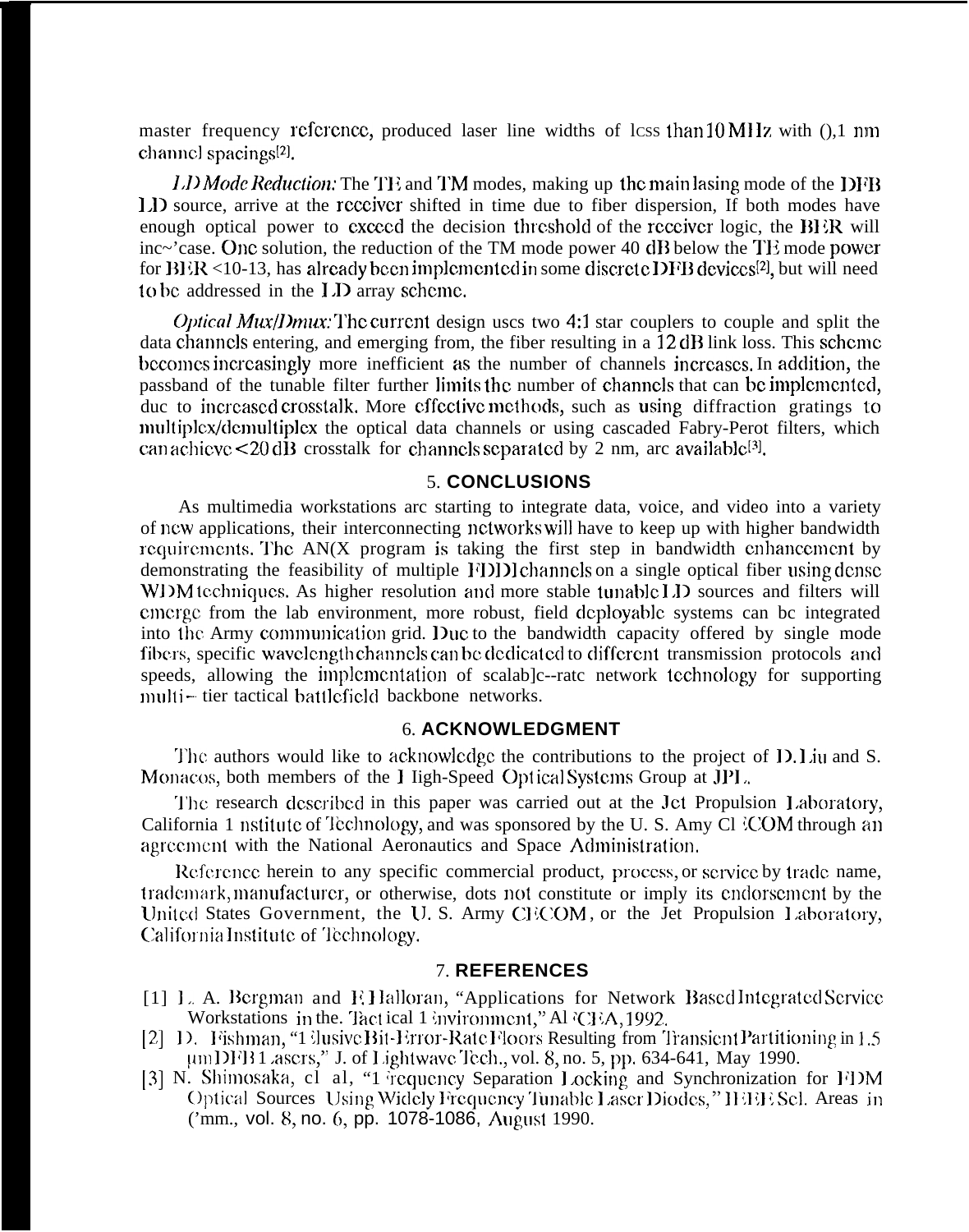master frequency reference, produced laser line widths of lcss than  $10 \text{ MHz}$  with  $( )$ , 1 nm channel spacings<sup>[2]</sup>.

*l.D Mode Reduction:* The TE and TM modes, making up the main lasing mode of the DFB 1.1> source, arrive at the rcccivcr shifted in time due to fiber dispersion, If both modes have enough optical power to exceed the decision threshold of the receiver logic, the  $BI$  in will inc~'case. One solution, the reduction of the TM mode power 40 dB below the TE mode power for  $BER < 10-13$ , has already been implemented in some discrete DFB devices<sup>[2]</sup>, but will need to be addressed in the I.D array scheme.

*Optical Mux/Dmux:* The current design uscs two 4:1 star couplers to couple and split the data channels entering, and emerging from, the fiber resulting in a  $12 \text{ dB}$  link loss. This scheme becomes increasingly more inefficient as the number of channels increases. In addition, the passband of the tunable filter further limits the number of channels that can be implemented, duc to increased crosstalk. More effective methods, such as using diffraction gratings to multiplex/demultiplex the optical data channels or using cascaded Fabry-Perot filters, which can achieve  $\leq$  20 dB crosstalk for channels separated by 2 nm, arc available<sup>[3]</sup>.

### 5. **CONCLUSIONS**

As multimedia workstations arc starting to integrate data, voice, and video into a variety of ncw applications, their interconnecting nctworkswil] have to keep up with higher bandwidth  $I_{\text{equirements}}$ . The AN(X program is taking the first step in bandwidth enhancement by demonstrating the feasibility of multiple FDD channels on a single optical fiber using dense WDM techniques. As higher resolution and more stable tunable LD sources and filters will cmcrgc from the lab environment, more robust, field dcployab]c systems can bc integrated into the Army communication grid. Duc to the bandwidth capacity offered by single mode fibers, specific wavelength channels can be dedicated to different transmission protocols and speeds, allowing the implementation of scalab ]c--rate network technology for supporting multi-tier tactical battlefield backbone networks.

#### 6. **ACKNOWLEDGMENT**

The authors would like to acknowledge the contributions to the project of D. Liu and S. Monacos, both members of the I ligh-Speed Optical Systems Group at JPL.

The research described in this paper was carried out at the Jet Propulsion Laboratory, California 1 nstitute of Technology, and was sponsored by the U.S. Amy Cl *COM* through an agreement with the National Aeronautics and Space Administration,

Reference herein to any specific commercial product, process, or service by trade name, trademark, manufacturer, or otherwise, dots not constitute or imply its cndorscment by the United States Government, the U.S. Army CECOM, or the Jet Propulsion Laboratory, **{~aliforl~ia** lnstitutc of 'lechno]ogy.

### 7. **REFERENCES**

- [1] L. A. Bergman and E. Halloran, "Applications for Network Based Integrated Service Workstations in the. Tact ical 1 invironment," Al 'CEA, 1992.
- [2] 1). Fishman, "1 {lusive Bit-Error-Rate Floors Resulting from Transient Partitioning in 1.5 umDFB1 ascrs," J. of Lightwave Tech., vol. 8, no. 5, pp. 634-641, May 1990.
- [3] N. Shimosaka, cl al, "1 requency Separation Locking and Synchronization for FDM Optical Sources Using Widcly Frequency Tunable Laser Diodes," HHH: Sel. Areas in ('mm., vol. 8, no. 6, pp. 1078-1086, August 1990.